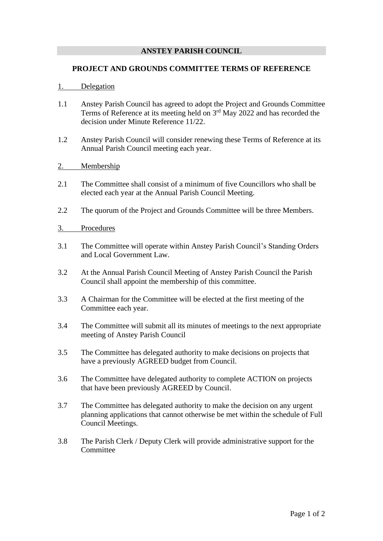## **ANSTEY PARISH COUNCIL**

### **PROJECT AND GROUNDS COMMITTEE TERMS OF REFERENCE**

### 1. Delegation

- 1.1 Anstey Parish Council has agreed to adopt the Project and Grounds Committee Terms of Reference at its meeting held on  $3<sup>rd</sup>$  May 2022 and has recorded the decision under Minute Reference 11/22.
- 1.2 Anstey Parish Council will consider renewing these Terms of Reference at its Annual Parish Council meeting each year.

# 2. Membership

- 2.1 The Committee shall consist of a minimum of five Councillors who shall be elected each year at the Annual Parish Council Meeting.
- 2.2 The quorum of the Project and Grounds Committee will be three Members.

### 3. Procedures

- 3.1 The Committee will operate within Anstey Parish Council's Standing Orders and Local Government Law.
- 3.2 At the Annual Parish Council Meeting of Anstey Parish Council the Parish Council shall appoint the membership of this committee.
- 3.3 A Chairman for the Committee will be elected at the first meeting of the Committee each year.
- 3.4 The Committee will submit all its minutes of meetings to the next appropriate meeting of Anstey Parish Council
- 3.5 The Committee has delegated authority to make decisions on projects that have a previously AGREED budget from Council.
- 3.6 The Committee have delegated authority to complete ACTION on projects that have been previously AGREED by Council.
- 3.7 The Committee has delegated authority to make the decision on any urgent planning applications that cannot otherwise be met within the schedule of Full Council Meetings.
- 3.8 The Parish Clerk / Deputy Clerk will provide administrative support for the **Committee**